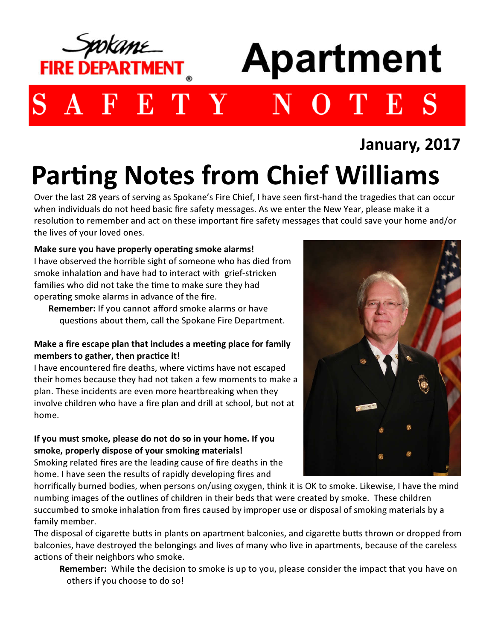

## January, 2017

# Parting Notes from Chief Williams

Over the last 28 years of serving as Spokane's Fire Chief, I have seen first-hand the tragedies that can occur when individuals do not heed basic fire safety messages. As we enter the New Year, please make it a resolution to remember and act on these important fire safety messages that could save your home and/or the lives of your loved ones.

#### Make sure you have properly operating smoke alarms! I have observed the horrible sight of someone who has died from smoke inhalation and have had to interact with grief-stricken families who did not take the time to make sure they had

operating smoke alarms in advance of the fire.

Remember: If you cannot afford smoke alarms or have questions about them, call the Spokane Fire Department.

#### Make a fire escape plan that includes a meeting place for family members to gather, then practice it!

I have encountered fire deaths, where victims have not escaped their homes because they had not taken a few moments to make a plan. These incidents are even more heartbreaking when they involve children who have a fire plan and drill at school, but not at home.

#### If you must smoke, please do not do so in your home. If you smoke, properly dispose of your smoking materials! Smoking related fires are the leading cause of fire deaths in the

home. I have seen the results of rapidly developing fires and



horrifically burned bodies, when persons on/using oxygen, think it is OK to smoke. Likewise, I have the mind numbing images of the outlines of children in their beds that were created by smoke. These children succumbed to smoke inhalation from fires caused by improper use or disposal of smoking materials by a family member.

The disposal of cigarette butts in plants on apartment balconies, and cigarette butts thrown or dropped from balconies, have destroyed the belongings and lives of many who live in apartments, because of the careless actions of their neighbors who smoke.

Remember: While the decision to smoke is up to you, please consider the impact that you have on others if you choose to do so!